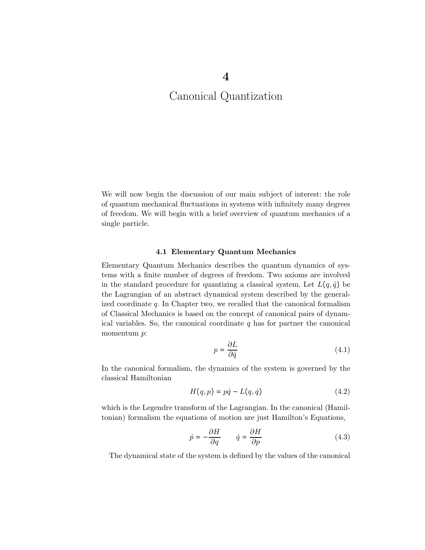We will now begin the discussion of our main subject of interest: the role of quantum mechanical fluctuations in systems with infinitely many degrees of freedom. We will begin with a brief overview of quantum mechanics of a single particle.

#### 4.1 Elementary Quantum Mechanics

Elementary Quantum Mechanics describes the quantum dynamics of systems with a finite number of degrees of freedom. Two axioms are involved in the standard procedure for quantizing a classical system. Let  $L(q, \dot{q})$  be the Lagrangian of an abstract dynamical system described by the generalized coordinate  $q$ . In Chapter two, we recalled that the canonical formalism of Classical Mechanics is based on the concept of canonical pairs of dynamical variables. So, the canonical coordinate  $q$  has for partner the canonical momentum *p*:

$$
p = \frac{\partial L}{\partial \dot{q}}\tag{4.1}
$$

In the canonical formalism, the dynamics of the system is governed by the classical Hamiltonian

$$
H(q, p) = p\dot{q} - L(q, \dot{q})\tag{4.2}
$$

which is the Legendre transform of the Lagrangian. In the canonical (Hamiltonian) formalism the equations of motion are just Hamilton's Equations,

$$
\dot{p} = -\frac{\partial H}{\partial q} \qquad \dot{q} = \frac{\partial H}{\partial p} \tag{4.3}
$$

The dynamical state of the system is defined by the values of the canonical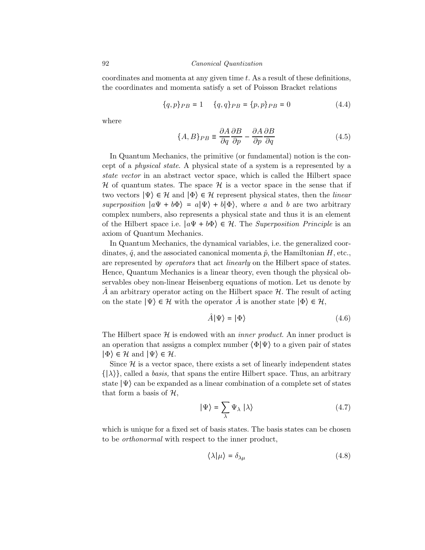coordinates and momenta at any given time t. As a result of these definitions, the coordinates and momenta satisfy a set of Poisson Bracket relations

$$
\{q, p\}_{PB} = 1 \qquad \{q, q\}_{PB} = \{p, p\}_{PB} = 0 \tag{4.4}
$$

where

$$
\{A, B\}_{PB} \equiv \frac{\partial A}{\partial q} \frac{\partial B}{\partial p} - \frac{\partial A}{\partial p} \frac{\partial B}{\partial q} \tag{4.5}
$$

In Quantum Mechanics, the primitive (or fundamental) notion is the concept of a physical state. A physical state of a system is a represented by a state vector in an abstract vector space, which is called the Hilbert space  $H$  of quantum states. The space  $H$  is a vector space in the sense that if two vectors  $|\Psi\rangle \in \mathcal{H}$  and  $|\Phi\rangle \in \mathcal{H}$  represent physical states, then the *linear* superposition  $|a\Psi + b\Phi\rangle = a|\Psi\rangle + b|\Phi\rangle$ , where a and b are two arbitrary complex numbers, also represents a physical state and thus it is an element of the Hilbert space i.e.  $|a\Psi + b\Phi\rangle \in \mathcal{H}$ . The *Superposition Principle* is an axiom of Quantum Mechanics.

In Quantum Mechanics, the dynamical variables, i.e. the generalized coordinates,  $\hat{q}$ , and the associated canonical momenta  $\hat{p}$ , the Hamiltonian H, etc., are represented by operators that act linearly on the Hilbert space of states. Hence, Quantum Mechanics is a linear theory, even though the physical observables obey non-linear Heisenberg equations of motion. Let us denote by A an arbitrary operator acting on the Hilbert space  $\mathcal{H}$ . The result of acting on the state  $|\Psi\rangle \in \mathcal{H}$  with the operator  $\hat{A}$  is another state  $|\Phi\rangle \in \mathcal{H}$ ,

$$
\hat{A}|\Psi\rangle = |\Phi\rangle \tag{4.6}
$$

The Hilbert space  $\mathcal H$  is endowed with an *inner product*. An inner product is an operation that assigns a complex number  $\langle \Phi | \Psi \rangle$  to a given pair of states  $|\Phi\rangle \in \mathcal{H}$  and  $|\Psi\rangle \in \mathcal{H}$ .

Since  $\mathcal H$  is a vector space, there exists a set of linearly independent states  $\{|\lambda\rangle\}$ , called a *basis*, that spans the entire Hilbert space. Thus, an arbitrary state  $|\Psi\rangle$  can be expanded as a linear combination of a complete set of states that form a basis of  $H$ ,

$$
|\Psi\rangle = \sum_{\lambda} \Psi_{\lambda} | \lambda \rangle \tag{4.7}
$$

which is unique for a fixed set of basis states. The basis states can be chosen to be orthonormal with respect to the inner product,

$$
\langle \lambda | \mu \rangle = \delta_{\lambda \mu} \tag{4.8}
$$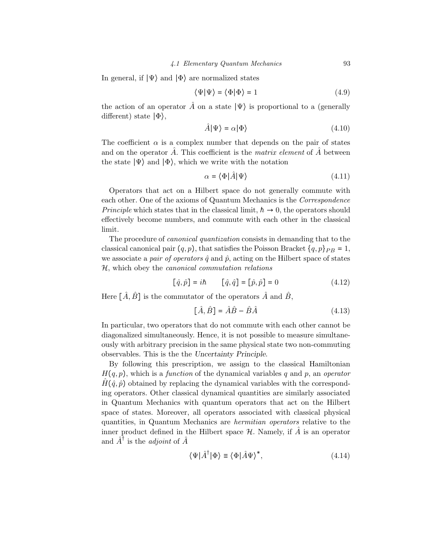#### 4.1 Elementary Quantum Mechanics 93

In general, if  $|\Psi\rangle$  and  $|\Phi\rangle$  are normalized states

$$
\langle \Psi | \Psi \rangle = \langle \Phi | \Phi \rangle = 1 \tag{4.9}
$$

the action of an operator  $\hat{A}$  on a state  $|\Psi\rangle$  is proportional to a (generally different) state ∣Φ⟩,

$$
\hat{A}|\Psi\rangle = \alpha|\Phi\rangle \tag{4.10}
$$

The coefficient  $\alpha$  is a complex number that depends on the pair of states and on the operator  $\tilde{A}$ . This coefficient is the *matrix element* of  $\tilde{A}$  between the state  $|\Psi\rangle$  and  $|\Phi\rangle$ , which we write with the notation

$$
\alpha = \langle \Phi | \hat{A} | \Psi \rangle \tag{4.11}
$$

Operators that act on a Hilbert space do not generally commute with each other. One of the axioms of Quantum Mechanics is the Correspondence *Principle* which states that in the classical limit,  $\hbar \rightarrow 0$ , the operators should effectively become numbers, and commute with each other in the classical limit.

The procedure of canonical quantization consists in demanding that to the classical canonical pair  $(q, p)$ , that satisfies the Poisson Bracket  $\{q, p\}_{PB} = 1$ , we associate a *pair of operators*  $\hat{q}$  and  $\hat{p}$ , acting on the Hilbert space of states H, which obey the canonical commutation relations

$$
[\hat{q}, \hat{p}] = i\hbar \qquad [\hat{q}, \hat{q}] = [\hat{p}, \hat{p}] = 0 \qquad (4.12)
$$

Here  $[\hat{A}, \hat{B}]$  is the commutator of the operators  $\hat{A}$  and  $\hat{B}$ ,

$$
[\hat{A}, \hat{B}] = \hat{A}\hat{B} - \hat{B}\hat{A}
$$
 (4.13)

In particular, two operators that do not commute with each other cannot be diagonalized simultaneously. Hence, it is not possible to measure simultaneously with arbitrary precision in the same physical state two non-commuting observables. This is the the Uncertainty Principle.

By following this prescription, we assign to the classical Hamiltonian  $H(q, p)$ , which is a *function* of the dynamical variables q and p, an *operator*  $H(\hat{q}, \hat{p})$  obtained by replacing the dynamical variables with the corresponding operators. Other classical dynamical quantities are similarly associated in Quantum Mechanics with quantum operators that act on the Hilbert space of states. Moreover, all operators associated with classical physical quantities, in Quantum Mechanics are hermitian operators relative to the inner product defined in the Hilbert space  $\mathcal{H}$ . Namely, if  $\hat{A}$  is an operator and  $\hat{A}^{\dagger}$  is the *adjoint* of  $\hat{A}$ 

$$
\langle \Psi | \hat{A}^{\dagger} | \Phi \rangle \equiv \langle \Phi | \hat{A} \Psi \rangle^*, \tag{4.14}
$$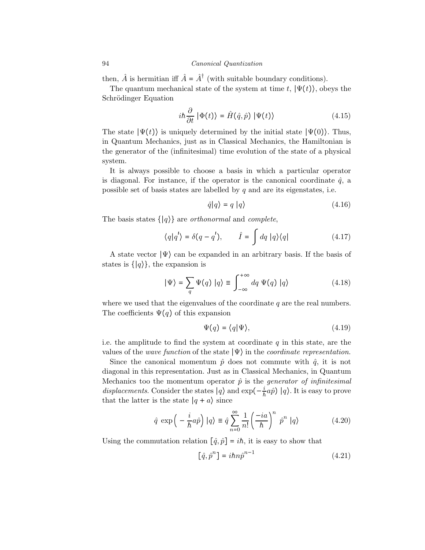then,  $\hat{A}$  is hermitian iff  $\hat{A} = \hat{A}^{\dagger}$  (with suitable boundary conditions).

The quantum mechanical state of the system at time t,  $|\Psi(t)\rangle$ , obeys the Schrödinger Equation

$$
i\hbar \frac{\partial}{\partial t} | \Phi(t) \rangle = \hat{H}(\hat{q}, \hat{p}) | \Psi(t) \rangle \tag{4.15}
$$

The state  $|\Psi(t)\rangle$  is uniquely determined by the initial state  $|\Psi(0)\rangle$ . Thus, in Quantum Mechanics, just as in Classical Mechanics, the Hamiltonian is the generator of the (infinitesimal) time evolution of the state of a physical system.

It is always possible to choose a basis in which a particular operator is diagonal. For instance, if the operator is the canonical coordinate  $\hat{q}$ , a possible set of basis states are labelled by  $q$  and are its eigenstates, i.e.

$$
\hat{q}|q\rangle = q |q\rangle \tag{4.16}
$$

The basis states  $\{ |q\rangle \}$  are *orthonormal* and *complete*,

$$
\langle q|q'\rangle = \delta(q - q'), \qquad \hat{I} = \int dq \, |q\rangle\langle q| \tag{4.17}
$$

A state vector  $|\Psi\rangle$  can be expanded in an arbitrary basis. If the basis of states is  $\{|q\rangle\}$ , the expansion is

$$
|\Psi\rangle = \sum_{q} \Psi(q) |q\rangle \equiv \int_{-\infty}^{+\infty} dq \Psi(q) |q\rangle \tag{4.18}
$$

where we used that the eigenvalues of the coordinate  $q$  are the real numbers. The coefficients  $\Psi(q)$  of this expansion

$$
\Psi(q) = \langle q | \Psi \rangle,\tag{4.19}
$$

i.e. the amplitude to find the system at coordinate  $q$  in this state, are the values of the *wave function* of the state  $|\Psi\rangle$  in the *coordinate representation*.

Since the canonical momentum  $\hat{p}$  does not commute with  $\hat{q}$ , it is not diagonal in this representation. Just as in Classical Mechanics, in Quantum Mechanics too the momentum operator  $\hat{p}$  is the *generator of infinitesimal* displacements. Consider the states  $|q\rangle$  and  $\exp(-\frac{i}{\hbar}a\hat{p})|q\rangle$ . It is easy to prove that the latter is the state  $|q + a\rangle$  since

$$
\hat{q} \exp\left(-\frac{i}{\hbar}a\hat{p}\right)|q\rangle \equiv \hat{q}\sum_{n=0}^{\infty}\frac{1}{n!}\left(\frac{-ia}{\hbar}\right)^n\hat{p}^n|q\rangle\tag{4.20}
$$

Using the commutation relation  $[\hat{q}, \hat{p}] = i\hbar$ , it is easy to show that

$$
\left[\hat{q},\hat{p}^n\right] = i\hbar n \hat{p}^{n-1} \tag{4.21}
$$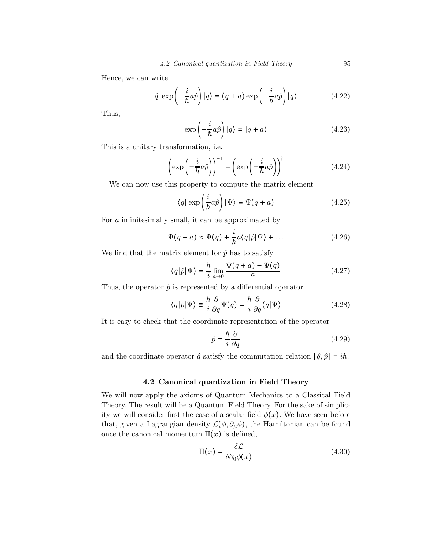Hence, we can write

$$
\hat{q} \exp\left(-\frac{i}{\hbar}a\hat{p}\right)|q\rangle = (q+a)\exp\left(-\frac{i}{\hbar}a\hat{p}\right)|q\rangle \tag{4.22}
$$

Thus,

$$
\exp\left(-\frac{i}{\hbar}a\hat{p}\right)|q\rangle = |q+a\rangle\tag{4.23}
$$

This is a unitary transformation, i.e.

$$
\left(\exp\left(-\frac{i}{\hbar}a\hat{p}\right)\right)^{-1} = \left(\exp\left(-\frac{i}{\hbar}a\hat{p}\right)\right)^{\dagger} \tag{4.24}
$$

We can now use this property to compute the matrix element

$$
\langle q | \exp\left(\frac{i}{\hbar}a\hat{p}\right) | \Psi \rangle \equiv \Psi(q+a)
$$
 (4.25)

For a infinitesimally small, it can be approximated by

$$
\Psi(q+a) \approx \Psi(q) + \frac{i}{\hbar} a \langle q | \hat{p} | \Psi \rangle + \dots \tag{4.26}
$$

We find that the matrix element for  $\hat{p}$  has to satisfy

$$
\langle q|\hat{p}|\Psi\rangle = \frac{\hbar}{i}\lim_{a\to 0} \frac{\Psi(q+a) - \Psi(q)}{a}
$$
 (4.27)

Thus, the operator  $\hat{p}$  is represented by a differential operator

$$
\langle q|\hat{p}|\Psi\rangle \equiv \frac{\hbar}{i}\frac{\partial}{\partial q}\Psi(q) = \frac{\hbar}{i}\frac{\partial}{\partial q}\langle q|\Psi\rangle
$$
 (4.28)

It is easy to check that the coordinate representation of the operator

$$
\hat{p} = \frac{\hbar}{i} \frac{\partial}{\partial q} \tag{4.29}
$$

and the coordinate operator  $\hat{q}$  satisfy the commutation relation  $[\hat{q}, \hat{p}] = i\hbar$ .

## 4.2 Canonical quantization in Field Theory

We will now apply the axioms of Quantum Mechanics to a Classical Field Theory. The result will be a Quantum Field Theory. For the sake of simplicity we will consider first the case of a scalar field  $\phi(x)$ . We have seen before that, given a Lagrangian density  $\mathcal{L}(\phi, \partial_{\mu}\phi)$ , the Hamiltonian can be found once the canonical momentum  $\Pi(x)$  is defined,

$$
\Pi(x) = \frac{\delta \mathcal{L}}{\delta \partial_0 \phi(x)}\tag{4.30}
$$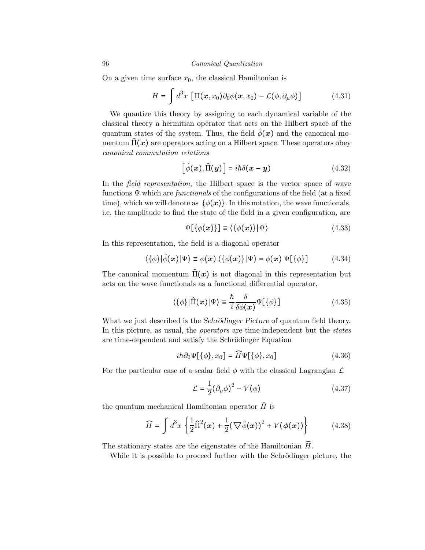On a given time surface  $x_0$ , the classical Hamiltonian is

$$
H = \int d^3x \left[ \Pi(x, x_0) \partial_0 \phi(x, x_0) - \mathcal{L}(\phi, \partial_\mu \phi) \right]
$$
(4.31)

We quantize this theory by assigning to each dynamical variable of the classical theory a hermitian operator that acts on the Hilbert space of the quantum states of the system. Thus, the field  $\hat{\phi}(x)$  and the canonical momentum  $\hat{\Pi}(x)$  are operators acting on a Hilbert space. These operators obey canonical commutation relations

$$
\left[\hat{\phi}(\boldsymbol{x}), \hat{\Pi}(\boldsymbol{y})\right] = i\hbar \delta(\boldsymbol{x} - \boldsymbol{y})\tag{4.32}
$$

In the *field representation*, the Hilbert space is the vector space of wave functions  $\Psi$  which are *functionals* of the configurations of the field (at a fixed time), which we will denote as  $\{\phi(x)\}\$ . In this notation, the wave functionals, i.e. the amplitude to find the state of the field in a given configuration, are

$$
\Psi[\{\phi(x)\}] \equiv \langle \{\phi(x)\} | \Psi \rangle \tag{4.33}
$$

In this representation, the field is a diagonal operator

$$
\langle \{\phi\}|\hat{\phi}(\boldsymbol{x})|\Psi\rangle \equiv \phi(\boldsymbol{x}) \langle \{\phi(\boldsymbol{x})\}|\Psi\rangle = \phi(\boldsymbol{x}) \Psi[\{\phi\}] \qquad (4.34)
$$

The canonical momentum  $\hat{\Pi}(x)$  is not diagonal in this representation but acts on the wave functionals as a functional differential operator,

$$
\langle \{\phi\} | \hat{\Pi}(\boldsymbol{x}) | \Psi \rangle \equiv \frac{\hbar}{i} \frac{\delta}{\delta \phi(\boldsymbol{x})} \Psi[\{\phi\}] \tag{4.35}
$$

What we just described is the Schrödinger Picture of quantum field theory. In this picture, as usual, the *operators* are time-independent but the *states* are time-dependent and satisfy the Schrödinger Equation

$$
i\hbar \partial_0 \Psi[\{\phi\}, x_0] = \widehat{H} \Psi[\{\phi\}, x_0]
$$
\n(4.36)

For the particular case of a scalar field  $\phi$  with the classical Lagrangian  $\mathcal L$ 

$$
\mathcal{L} = \frac{1}{2} (\partial_{\mu} \phi)^2 - V(\phi) \tag{4.37}
$$

the quantum mechanical Hamiltonian operator  $\hat{H}$  is

$$
\widehat{H} = \int d^3x \left\{ \frac{1}{2} \widehat{\Pi}^2(x) + \frac{1}{2} (\nabla \widehat{\phi}(x))^2 + V(\phi(x)) \right\} \tag{4.38}
$$

The stationary states are the eigenstates of the Hamiltonian  $\widehat{H}$ .

While it is possible to proceed further with the Schrödinger picture, the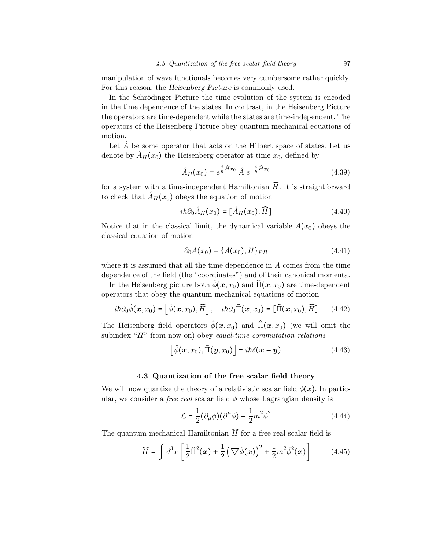manipulation of wave functionals becomes very cumbersome rather quickly. For this reason, the Heisenberg Picture is commonly used.

In the Schrödinger Picture the time evolution of the system is encoded in the time dependence of the states. In contrast, in the Heisenberg Picture the operators are time-dependent while the states are time-independent. The operators of the Heisenberg Picture obey quantum mechanical equations of motion.

Let  $A$  be some operator that acts on the Hilbert space of states. Let us denote by  $\tilde{A}_H(x_0)$  the Heisenberg operator at time  $x_0$ , defined by

$$
\hat{A}_H(x_0) = e^{\frac{i}{\hbar}\hat{H}x_0} \hat{A} e^{-\frac{i}{\hbar}\hat{H}x_0}
$$
\n(4.39)

for a system with a time-independent Hamiltonian  $\widehat{H}$ . It is straightforward to check that  $\hat{A}_H(x_0)$  obeys the equation of motion

$$
i\hbar \partial_0 \hat{A}_H(x_0) = [\hat{A}_H(x_0), \widehat{H}]
$$
\n(4.40)

Notice that in the classical limit, the dynamical variable  $A(x_0)$  obeys the classical equation of motion

$$
\partial_0 A(x_0) = \{A(x_0), H\}_{PB} \tag{4.41}
$$

where it is assumed that all the time dependence in A comes from the time dependence of the field (the "coordinates") and of their canonical momenta.

In the Heisenberg picture both  $\hat{\phi}(x, x_0)$  and  $\hat{\Pi}(x, x_0)$  are time-dependent operators that obey the quantum mechanical equations of motion

$$
i\hbar\partial_0\hat{\phi}(\boldsymbol{x},x_0) = \left[\hat{\phi}(\boldsymbol{x},x_0),\widehat{H}\right], \quad i\hbar\partial_0\widehat{\Pi}(\boldsymbol{x},x_0) = \left[\widehat{\Pi}(\boldsymbol{x},x_0),\widehat{H}\right] \tag{4.42}
$$

The Heisenberg field operators  $\hat{\phi}(x, x_0)$  and  $\hat{\Pi}(x, x_0)$  (we will omit the subindex "H" from now on) obey equal-time commutation relations

$$
\left[\hat{\phi}(\boldsymbol{x},x_0),\hat{\Pi}(\boldsymbol{y},x_0)\right]=i\hbar\delta(\boldsymbol{x}-\boldsymbol{y})
$$
\n(4.43)

## 4.3 Quantization of the free scalar field theory

We will now quantize the theory of a relativistic scalar field  $\phi(x)$ . In particular, we consider a *free real* scalar field  $\phi$  whose Lagrangian density is

$$
\mathcal{L} = \frac{1}{2} (\partial_{\mu} \phi)(\partial^{\mu} \phi) - \frac{1}{2} m^2 \phi^2 \qquad (4.44)
$$

The quantum mechanical Hamiltonian  $\widehat{H}$  for a free real scalar field is

$$
\widehat{H} = \int d^3x \left[ \frac{1}{2} \widehat{\Pi}^2(x) + \frac{1}{2} \left( \nabla \widehat{\phi}(x) \right)^2 + \frac{1}{2} m^2 \widehat{\phi}^2(x) \right]
$$
(4.45)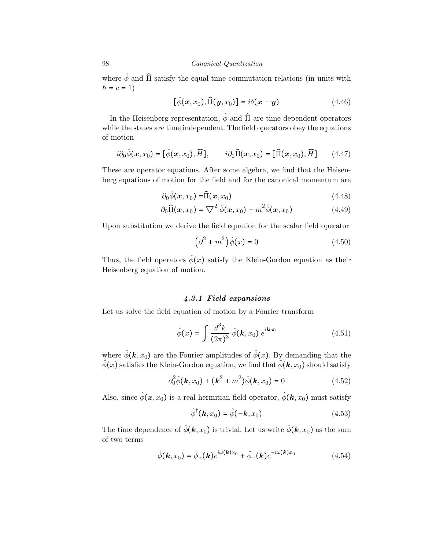where  $\hat{\phi}$  and  $\hat{\Pi}$  satisfy the equal-time commutation relations (in units with  $h = c = 1$ 

$$
[\hat{\phi}(\boldsymbol{x}, x_0), \hat{\Pi}(\boldsymbol{y}, x_0)] = i\delta(\boldsymbol{x} - \boldsymbol{y})
$$
\n(4.46)

In the Heisenberg representation,  $\hat{\phi}$  and  $\hat{\Pi}$  are time dependent operators while the states are time independent. The field operators obey the equations of motion

$$
i\partial_0 \hat{\phi}(\boldsymbol{x}, x_0) = [\hat{\phi}(\boldsymbol{x}, x_0), \widehat{H}], \qquad i\partial_0 \widehat{\Pi}(\boldsymbol{x}, x_0) = [\widehat{\Pi}(\boldsymbol{x}, x_0), \widehat{H}] \qquad (4.47)
$$

These are operator equations. After some algebra, we find that the Heisenberg equations of motion for the field and for the canonical momentum are

$$
\partial_0 \hat{\phi}(\boldsymbol{x}, x_0) = \hat{\Pi}(\boldsymbol{x}, x_0) \tag{4.48}
$$

$$
\partial_0 \widehat{\Pi}(\boldsymbol{x}, x_0) = \nabla^2 \widehat{\phi}(\boldsymbol{x}, x_0) - m^2 \widehat{\phi}(\boldsymbol{x}, x_0)
$$
(4.49)

Upon substitution we derive the field equation for the scalar field operator

$$
\left(\partial^2 + m^2\right)\hat{\phi}(x) = 0\tag{4.50}
$$

Thus, the field operators  $\hat{\phi}(x)$  satisfy the Klein-Gordon equation as their Heisenberg equation of motion.

# 4.3.1 Field expansions

Let us solve the field equation of motion by a Fourier transform

$$
\hat{\phi}(x) = \int \frac{d^3k}{(2\pi)^3} \hat{\phi}(\mathbf{k}, x_0) e^{i\mathbf{k} \cdot \mathbf{x}}
$$
\n(4.51)

where  $\hat{\phi}(\mathbf{k}, x_0)$  are the Fourier amplitudes of  $\hat{\phi}(x)$ . By demanding that the  $\hat{\phi}(x)$  satisfies the Klein-Gordon equation, we find that  $\hat{\phi}(\boldsymbol{k}, x_0)$  should satisfy

$$
\partial_0^2 \hat{\phi}(\mathbf{k}, x_0) + (\mathbf{k}^2 + m^2) \hat{\phi}(\mathbf{k}, x_0) = 0 \tag{4.52}
$$

Also, since  $\hat{\phi}(\mathbf{x}, x_0)$  is a real hermitian field operator,  $\hat{\phi}(\mathbf{k}, x_0)$  must satisfy

$$
\hat{\phi}^{\dagger}(\mathbf{k}, x_0) = \hat{\phi}(-\mathbf{k}, x_0)
$$
\n(4.53)

The time dependence of  $\hat{\phi}(\mathbf{k}, x_0)$  is trivial. Let us write  $\hat{\phi}(\mathbf{k}, x_0)$  as the sum of two terms

$$
\hat{\phi}(\mathbf{k},x_0) = \hat{\phi}_+(\mathbf{k})e^{i\omega(\mathbf{k})x_0} + \hat{\phi}_-(\mathbf{k})e^{-i\omega(\mathbf{k})x_0}
$$
(4.54)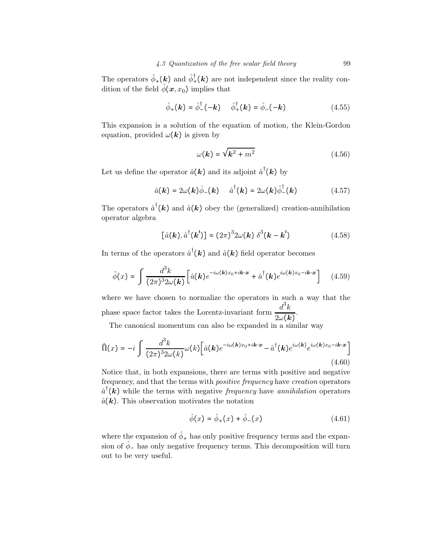The operators  $\hat{\phi}_+(\boldsymbol{k})$  and  $\hat{\phi}^{\dagger}_+(\boldsymbol{k})$  are not independent since the reality condition of the field  $\hat{\phi}(\boldsymbol{x}, x_0)$  implies that

$$
\hat{\phi}_{+}(\mathbf{k}) = \hat{\phi}_{-}^{\dagger}(-\mathbf{k}) \qquad \hat{\phi}_{+}^{\dagger}(\mathbf{k}) = \hat{\phi}_{-}(-\mathbf{k}) \tag{4.55}
$$

This expansion is a solution of the equation of motion, the Klein-Gordon equation, provided  $\omega(\mathbf{k})$  is given by

$$
\omega(\mathbf{k}) = \sqrt{\mathbf{k}^2 + m^2} \tag{4.56}
$$

Let us define the operator  $\hat{a}(\mathbf{k})$  and its adjoint  $\hat{a}^{\dagger}(\mathbf{k})$  by

$$
\hat{a}(\mathbf{k}) = 2\omega(\mathbf{k})\hat{\phi}_{-}(\mathbf{k}) \quad \hat{a}^{\dagger}(\mathbf{k}) = 2\omega(\mathbf{k})\hat{\phi}_{-}^{\dagger}(\mathbf{k}) \tag{4.57}
$$

The operators  $\hat{a}^{\dagger}(\mathbf{k})$  and  $\hat{a}(\mathbf{k})$  obey the (generalized) creation-annihilation operator algebra

$$
\left[\hat{a}(\boldsymbol{k}),\hat{a}^{\dagger}(\boldsymbol{k}^{\prime})\right] = (2\pi)^{3} 2\omega(\boldsymbol{k}) \delta^{3}(\boldsymbol{k} - \boldsymbol{k}^{\prime}) \tag{4.58}
$$

In terms of the operators  $\hat{a}^{\dagger}(\mathbf{k})$  and  $\hat{a}(\mathbf{k})$  field operator becomes

$$
\hat{\phi}(x) = \int \frac{d^3k}{(2\pi)^3 2\omega(\mathbf{k})} \left[ \hat{a}(\mathbf{k}) e^{-i\omega(\mathbf{k})x_0 + i\mathbf{k}\cdot\mathbf{x}} + \hat{a}^\dagger(\mathbf{k}) e^{i\omega(\mathbf{k})x_0 - i\mathbf{k}\cdot\mathbf{x}} \right]
$$
(4.59)

where we have chosen to normalize the operators in such a way that the phase space factor takes the Lorentz-invariant form  $\frac{d^3k}{dx^2}$  $\frac{\alpha}{2\omega(\mathbf{k})}$ .

The canonical momentum can also be expanded in a similar way

$$
\widehat{\Pi}(x) = -i \int \frac{d^3k}{(2\pi)^3 2\omega(k)} \omega(k) \left[ \widehat{a}(\mathbf{k}) e^{-i\omega(\mathbf{k})x_0 + i\mathbf{k}\cdot\mathbf{x}} - \widehat{a}^\dagger(\mathbf{k}) e^{i\omega(\mathbf{k})} e^{i\omega(\mathbf{k})x_0 - i\mathbf{k}\cdot\mathbf{x}} \right]
$$
\n(4.60)

Notice that, in both expansions, there are terms with positive and negative frequency, and that the terms with positive frequency have creation operators  $\hat{a}^{\dagger}(\boldsymbol{k})$  while the terms with negative *frequency* have *annihilation* operators  $\hat{a}(\mathbf{k})$ . This observation motivates the notation

$$
\hat{\phi}(x) = \hat{\phi}_+(x) + \hat{\phi}_-(x) \tag{4.61}
$$

where the expansion of  $\hat{\phi}_+$  has only positive frequency terms and the expansion of  $\hat{\phi}_-$  has only negative frequency terms. This decomposition will turn out to be very useful.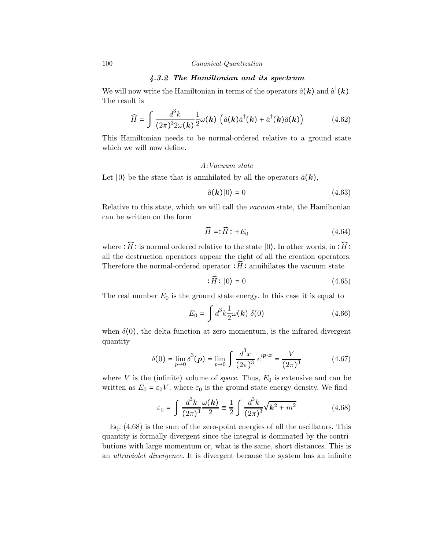## 4.3.2 The Hamiltonian and its spectrum

We will now write the Hamiltonian in terms of the operators  $\hat{a}(\boldsymbol{k})$  and  $\hat{a}^{\dagger}(\boldsymbol{k})$ . The result is

$$
\widehat{H} = \int \frac{d^3k}{(2\pi)^3 2\omega(\mathbf{k})} \frac{1}{2} \omega(\mathbf{k}) \left( \hat{a}(\mathbf{k}) \hat{a}^\dagger(\mathbf{k}) + \hat{a}^\dagger(\mathbf{k}) \hat{a}(\mathbf{k}) \right) \tag{4.62}
$$

This Hamiltonian needs to be normal-ordered relative to a ground state which we will now define.

### A:Vacuum state

Let  $|0\rangle$  be the state that is annihilated by all the operators  $\hat{a}(\mathbf{k})$ ,

$$
\hat{a}(\mathbf{k})|0\rangle = 0\tag{4.63}
$$

Relative to this state, which we will call the vacuum state, the Hamiltonian can be written on the form

$$
\widehat{H} = \widehat{H} \cdot + E_0 \tag{4.64}
$$

where :  $\widehat{H}$  : is normal ordered relative to the state |0). In other words, in  $:\widehat{H}$ : all the destruction operators appear the right of all the creation operators. Therefore the normal-ordered operator  $:\widehat{H}$ : annihilates the vacuum state

$$
\mathcal{F}(\widehat{H}:|0\rangle = 0\tag{4.65}
$$

The real number  $E_0$  is the ground state energy. In this case it is equal to

$$
E_0 = \int d^3k \frac{1}{2} \omega(\mathbf{k}) \delta(0) \qquad (4.66)
$$

when  $\delta(0)$ , the delta function at zero momentum, is the infrared divergent quantity

$$
\delta(0) = \lim_{p \to 0} \delta^3(p) = \lim_{p \to 0} \int \frac{d^3 x}{(2\pi)^3} e^{ip \cdot x} = \frac{V}{(2\pi)^3}
$$
(4.67)

where V is the (infinite) volume of *space*. Thus,  $E_0$  is extensive and can be written as  $E_0 = \varepsilon_0 V$ , where  $\varepsilon_0$  is the ground state energy density. We find

$$
\varepsilon_0 = \int \frac{d^3k}{(2\pi)^3} \frac{\omega(\mathbf{k})}{2} \equiv \frac{1}{2} \int \frac{d^3k}{(2\pi)^3} \sqrt{\mathbf{k}^2 + m^2}
$$
(4.68)

Eq. (4.68) is the sum of the zero-point energies of all the oscillators. This quantity is formally divergent since the integral is dominated by the contributions with large momentum or, what is the same, short distances. This is an ultraviolet divergence. It is divergent because the system has an infinite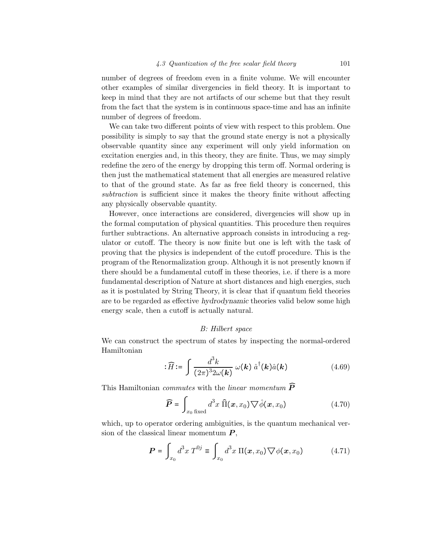number of degrees of freedom even in a finite volume. We will encounter other examples of similar divergencies in field theory. It is important to keep in mind that they are not artifacts of our scheme but that they result from the fact that the system is in continuous space-time and has an infinite number of degrees of freedom.

We can take two different points of view with respect to this problem. One possibility is simply to say that the ground state energy is not a physically observable quantity since any experiment will only yield information on excitation energies and, in this theory, they are finite. Thus, we may simply redefine the zero of the energy by dropping this term off. Normal ordering is then just the mathematical statement that all energies are measured relative to that of the ground state. As far as free field theory is concerned, this subtraction is sufficient since it makes the theory finite without affecting any physically observable quantity.

However, once interactions are considered, divergencies will show up in the formal computation of physical quantities. This procedure then requires further subtractions. An alternative approach consists in introducing a regulator or cutoff. The theory is now finite but one is left with the task of proving that the physics is independent of the cutoff procedure. This is the program of the Renormalization group. Although it is not presently known if there should be a fundamental cutoff in these theories, i.e. if there is a more fundamental description of Nature at short distances and high energies, such as it is postulated by String Theory, it is clear that if quantum field theories are to be regarded as effective hydrodynamic theories valid below some high energy scale, then a cutoff is actually natural.

### B: Hilbert space

We can construct the spectrum of states by inspecting the normal-ordered Hamiltonian

$$
\overline{H} := \int \frac{d^3k}{(2\pi)^3 2\omega(\mathbf{k})} \omega(\mathbf{k}) \hat{a}^\dagger(\mathbf{k}) \hat{a}(\mathbf{k}) \tag{4.69}
$$

This Hamiltonian *commutes* with the *linear momentum*  $\widehat{P}$ 

$$
\widehat{\boldsymbol{P}} = \int_{x_0 \text{ fixed}} d^3 x \, \widehat{\Pi}(\boldsymbol{x}, x_0) \nabla \hat{\phi}(\boldsymbol{x}, x_0)
$$
\n(4.70)

which, up to operator ordering ambiguities, is the quantum mechanical version of the classical linear momentum  $P$ ,

$$
\boldsymbol{P} = \int_{x_0} d^3x \, T^{0j} \equiv \int_{x_0} d^3x \, \Pi(\boldsymbol{x}, x_0) \nabla \phi(\boldsymbol{x}, x_0) \tag{4.71}
$$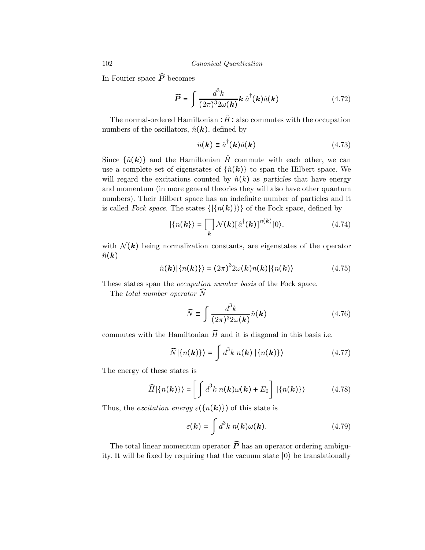In Fourier space  $\widehat{P}$  becomes

$$
\widehat{P} = \int \frac{d^3k}{(2\pi)^3 2\omega(\mathbf{k})} \mathbf{k} \,\hat{a}^\dagger(\mathbf{k}) \hat{a}(\mathbf{k}) \tag{4.72}
$$

The normal-ordered Hamiltonian  $:\hat{H}$  : also commutes with the occupation numbers of the oscillators,  $\hat{n}(\mathbf{k})$ , defined by

$$
\hat{n}(\mathbf{k}) \equiv \hat{a}^{\dagger}(\mathbf{k})\hat{a}(\mathbf{k}) \tag{4.73}
$$

Since  $\{\hat{n}(\mathbf{k})\}$  and the Hamiltonian  $\hat{H}$  commute with each other, we can use a complete set of eigenstates of  $\{\hat{n}(\mathbf{k})\}$  to span the Hilbert space. We will regard the excitations counted by  $\hat{n}(k)$  as particles that have energy and momentum (in more general theories they will also have other quantum numbers). Their Hilbert space has an indefinite number of particles and it is called Fock space. The states  $\{\vert \{n(\mathbf{k})\} \rangle\}$  of the Fock space, defined by

$$
|\{n(\mathbf{k})\}\rangle = \prod_{\mathbf{k}} \mathcal{N}(\mathbf{k}) [\hat{a}^{\dagger}(\mathbf{k})]^{n(\mathbf{k})} |0\rangle, \tag{4.74}
$$

with  $\mathcal{N}(k)$  being normalization constants, are eigenstates of the operator  $\hat{n}(\mathbf{k})$ 

$$
\hat{n}(\mathbf{k})|\{n(\mathbf{k})\}\rangle = (2\pi)^{3}2\omega(\mathbf{k})n(\mathbf{k})|\{n(\mathbf{k})\}\qquad(4.75)
$$

These states span the *occupation number basis* of the Fock space.

The total number operator  $\widehat{N}$ 

$$
\widehat{N} \equiv \int \frac{d^3k}{(2\pi)^3 2\omega(\mathbf{k})} \hat{n}(\mathbf{k}) \tag{4.76}
$$

commutes with the Hamiltonian  $\widehat{H}$  and it is diagonal in this basis i.e.

$$
\widehat{N}|\{n(\mathbf{k})\}\rangle = \int d^3k \; n(\mathbf{k}) \; |\{n(\mathbf{k})\}\rangle \tag{4.77}
$$

The energy of these states is

$$
\widehat{H}|\{n(\mathbf{k})\}\rangle = \left[\int d^3k \; n(\mathbf{k})\omega(\mathbf{k}) + E_0\right] |\{n(\mathbf{k})\}\rangle \tag{4.78}
$$

Thus, the excitation energy  $\varepsilon({n(\mathbf{k})})$  of this state is

$$
\varepsilon(\mathbf{k}) = \int d^3k \; n(\mathbf{k}) \omega(\mathbf{k}). \tag{4.79}
$$

The total linear momentum operator  $\widehat{P}$  has an operator ordering ambiguity. It will be fixed by requiring that the vacuum state ∣0⟩ be translationally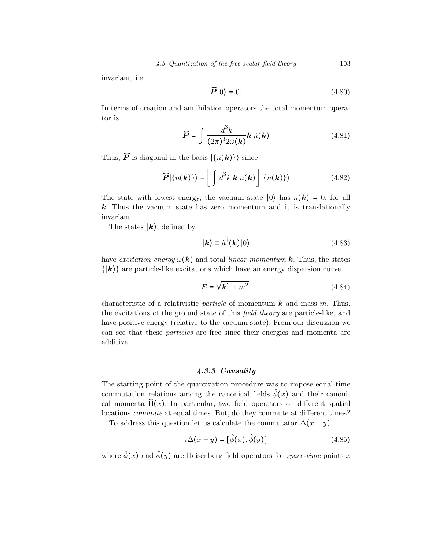invariant, i.e.

$$
\widehat{P}|0\rangle = 0.\tag{4.80}
$$

In terms of creation and annihilation operators the total momentum operator is

$$
\widehat{P} = \int \frac{d^3k}{(2\pi)^3 2\omega(\mathbf{k})} \mathbf{k} \hat{n}(\mathbf{k}) \tag{4.81}
$$

Thus,  $\widehat{P}$  is diagonal in the basis  $\{n(k)\}\$  since

$$
\widehat{P}|\{n(\mathbf{k})\}\rangle = \left[\int d^3k \, \mathbf{k} \, n(\mathbf{k})\right] |\{n(\mathbf{k})\}\rangle \tag{4.82}
$$

The state with lowest energy, the vacuum state  $|0\rangle$  has  $n(\mathbf{k}) = 0$ , for all  $k$ . Thus the vacuum state has zero momentum and it is translationally invariant.

The states  $\ket{k}$ , defined by

$$
|\mathbf{k}\rangle \equiv \hat{a}^{\dagger}(\mathbf{k})|0\rangle \tag{4.83}
$$

have excitation energy  $\omega(\mathbf{k})$  and total linear momentum **k**. Thus, the states  $\{|\mathbf{k}\rangle\}$  are particle-like excitations which have an energy dispersion curve

$$
E = \sqrt{k^2 + m^2},\tag{4.84}
$$

characteristic of a relativistic *particle* of momentum  $\boldsymbol{k}$  and mass m. Thus, the excitations of the ground state of this field theory are particle-like, and have positive energy (relative to the vacuum state). From our discussion we can see that these particles are free since their energies and momenta are additive.

# 4.3.3 Causality

The starting point of the quantization procedure was to impose equal-time commutation relations among the canonical fields  $\hat{\phi}(x)$  and their canonical momenta  $\hat{\Pi}(x)$ . In particular, two field operators on different spatial locations commute at equal times. But, do they commute at different times?

To address this question let us calculate the commutator  $\Delta(x - y)$ 

$$
i\Delta(x-y) = [\hat{\phi}(x), \hat{\phi}(y)] \tag{4.85}
$$

where  $\hat{\phi}(x)$  and  $\hat{\phi}(y)$  are Heisenberg field operators for *space-time* points x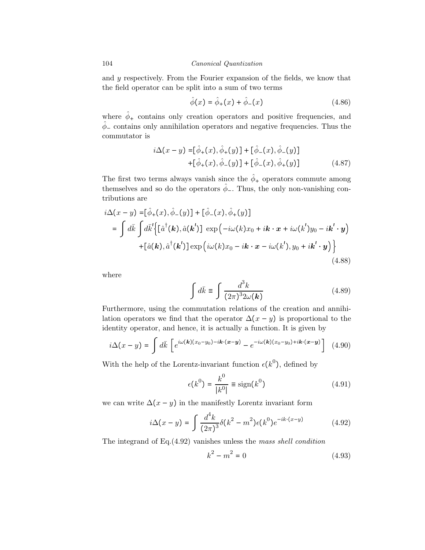and y respectively. From the Fourier expansion of the fields, we know that the field operator can be split into a sum of two terms

$$
\hat{\phi}(x) = \hat{\phi}_{+}(x) + \hat{\phi}_{-}(x)
$$
\n(4.86)

where  $\hat{\phi}_+$  contains only creation operators and positive frequencies, and  $\phi$ <sub>−</sub> contains only annihilation operators and negative frequencies. Thus the commutator is

$$
i\Delta(x - y) = [\hat{\phi}_{+}(x), \hat{\phi}_{+}(y)] + [\hat{\phi}_{-}(x), \hat{\phi}_{-}(y)] + [\hat{\phi}_{+}(x), \hat{\phi}_{-}(y)] + [\hat{\phi}_{-}(x), \hat{\phi}_{+}(y)]
$$
 (4.87)

The first two terms always vanish since the  $\hat{\phi}_+$  operators commute among themselves and so do the operators  $\hat{\phi}_-$ . Thus, the only non-vanishing contributions are

$$
i\Delta(x - y) = [\hat{\phi}_{+}(x), \hat{\phi}_{-}(y)] + [\hat{\phi}_{-}(x), \hat{\phi}_{+}(y)]
$$
  
\n
$$
= \int d\bar{k} \int d\bar{k}' \Big\{ [\hat{a}^{\dagger}(\mathbf{k}), \hat{a}(\mathbf{k}')] \exp(-i\omega(k)x_{0} + i\mathbf{k} \cdot \mathbf{x} + i\omega(k')y_{0} - i\mathbf{k}' \cdot \mathbf{y})
$$
  
\n
$$
+ [\hat{a}(\mathbf{k}), \hat{a}^{\dagger}(\mathbf{k}')] \exp(i\omega(k)x_{0} - i\mathbf{k} \cdot \mathbf{x} - i\omega(k'), y_{0} + i\mathbf{k}' \cdot \mathbf{y}) \Big\}
$$
(4.88)

where

$$
\int d\bar{k} \equiv \int \frac{d^3k}{(2\pi)^3 2\omega(\mathbf{k})}
$$
\n(4.89)

Furthermore, using the commutation relations of the creation and annihilation operators we find that the operator  $\Delta(x - y)$  is proportional to the identity operator, and hence, it is actually a function. It is given by

$$
i\Delta(x-y) = \int d\bar{k} \left[ e^{i\omega(\mathbf{k})(x_0-y_0) - i\mathbf{k} \cdot (\mathbf{x}-\mathbf{y})} - e^{-i\omega(\mathbf{k})(x_0-y_0) + i\mathbf{k} \cdot (\mathbf{x}-\mathbf{y})} \right] \tag{4.90}
$$

With the help of the Lorentz-invariant function  $\epsilon(k^0)$ , defined by

$$
\epsilon(k^0) = \frac{k^0}{|k^0|} \equiv \text{sign}(k^0)
$$
\n(4.91)

we can write  $\Delta(x - y)$  in the manifestly Lorentz invariant form

$$
i\Delta(x-y) = \int \frac{d^4k}{(2\pi)^3} \delta(k^2 - m^2) \epsilon(k^0) e^{-ik \cdot (x-y)} \tag{4.92}
$$

The integrand of Eq.(4.92) vanishes unless the mass shell condition

$$
k^2 - m^2 = 0 \tag{4.93}
$$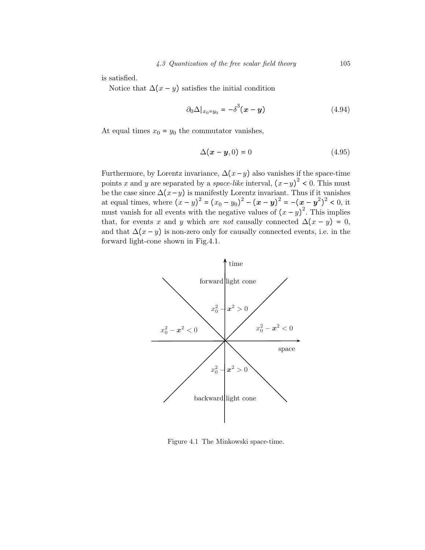is satisfied.

Notice that  $\Delta(x - y)$  satisfies the initial condition

$$
\partial_0 \Delta |_{x_0 = y_0} = -\delta^3 (\boldsymbol{x} - \boldsymbol{y}) \tag{4.94}
$$

At equal times  $x_0 = y_0$  the commutator vanishes,

$$
\Delta(\mathbf{x} - \mathbf{y}, 0) = 0 \tag{4.95}
$$

Furthermore, by Lorentz invariance,  $\Delta(x-y)$  also vanishes if the space-time points x and y are separated by a *space-like* interval,  $(x - y)^2 < 0$ . This must be the case since  $\Delta(x-y)$  is manifestly Lorentz invariant. Thus if it vanishes at equal times, where  $(x - y)^2 = (x_0 - y_0)^2 - (x - y)^2 = -(x - y^2)^2 < 0$ , it must vanish for all events with the negative values of  $(x - y)^2$ . This implies that, for events x and y which are not causally connected  $\Delta(x - y) = 0$ , and that  $\Delta(x - y)$  is non-zero only for causally connected events, i.e. in the forward light-cone shown in Fig.4.1.



Figure 4.1 The Minkowski space-time.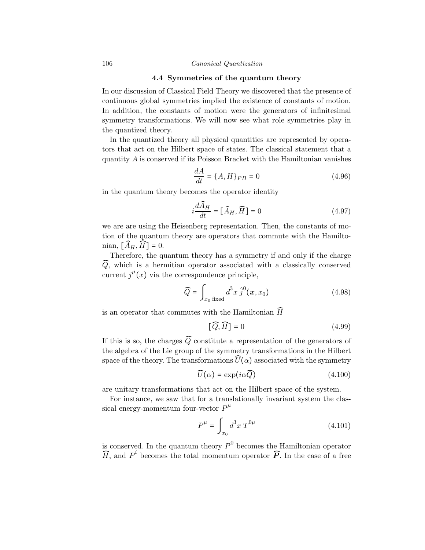#### 4.4 Symmetries of the quantum theory

In our discussion of Classical Field Theory we discovered that the presence of continuous global symmetries implied the existence of constants of motion. In addition, the constants of motion were the generators of infinitesimal symmetry transformations. We will now see what role symmetries play in the quantized theory.

In the quantized theory all physical quantities are represented by operators that act on the Hilbert space of states. The classical statement that a quantity A is conserved if its Poisson Bracket with the Hamiltonian vanishes

$$
\frac{dA}{dt} = \{A, H\}_{PB} = 0\tag{4.96}
$$

in the quantum theory becomes the operator identity

$$
i\frac{d\widehat{A}_H}{dt} = [\widehat{A}_H, \widehat{H}] = 0
$$
\n(4.97)

we are are using the Heisenberg representation. Then, the constants of motion of the quantum theory are operators that commute with the Hamiltonian,  $[\widehat{A}_H, \widehat{H}] = 0$ .

Therefore, the quantum theory has a symmetry if and only if the charge  $\widehat{Q}$ , which is a hermitian operator associated with a classically conserved current  $j^{\mu}(x)$  via the correspondence principle,

$$
\widehat{Q} = \int_{x_0 \text{ fixed}} d^3 x \, \hat{j}^0(\boldsymbol{x}, x_0) \tag{4.98}
$$

is an operator that commutes with the Hamiltonian  $\widehat{H}$ 

$$
\left[\widehat{Q}, \widehat{H}\right] = 0\tag{4.99}
$$

If this is so, the charges  $\widehat{Q}$  constitute a representation of the generators of the algebra of the Lie group of the symmetry transformations in the Hilbert space of the theory. The transformations  $U(\alpha)$  associated with the symmetry

$$
\widehat{U}(\alpha) = \exp(i\alpha \widehat{Q}) \tag{4.100}
$$

are unitary transformations that act on the Hilbert space of the system.

For instance, we saw that for a translationally invariant system the classical energy-momentum four-vector  $P^{\mu}$ 

$$
P^{\mu} = \int_{x_0} d^3 x \, T^{0\mu} \tag{4.101}
$$

is conserved. In the quantum theory  $P^0$  becomes the Hamiltonian operator  $\widehat{H}$ , and  $P^i$  becomes the total momentum operator  $\widehat{P}$ . In the case of a free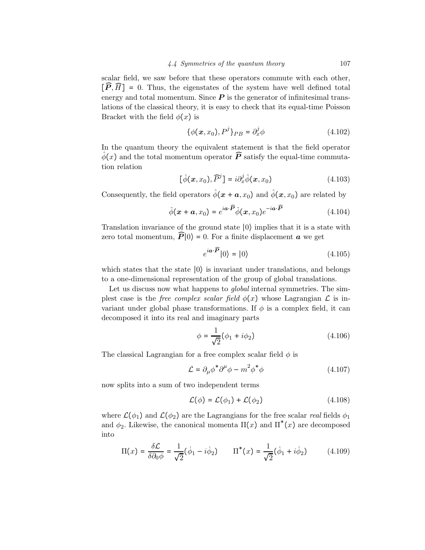scalar field, we saw before that these operators commute with each other,  $[\widehat{P}, \widehat{H}] = 0$ . Thus, the eigenstates of the system have well defined total energy and total momentum. Since  $P$  is the generator of infinitesimal translations of the classical theory, it is easy to check that its equal-time Poisson Bracket with the field  $\phi(x)$  is

$$
\{\phi(\mathbf{x}, x_0), P^j\}_{PB} = \partial_x^j \phi \tag{4.102}
$$

In the quantum theory the equivalent statement is that the field operator  $\hat{\phi}(x)$  and the total momentum operator  $\widehat{P}$  satisfy the equal-time commutation relation

$$
[\hat{\phi}(\boldsymbol{x}, x_0), \widehat{P}^j] = i\partial_x^j \hat{\phi}(\boldsymbol{x}, x_0)
$$
\n(4.103)

Consequently, the field operators  $\hat{\phi}(x + a, x_0)$  and  $\hat{\phi}(x, x_0)$  are related by

$$
\hat{\phi}(\mathbf{x} + \mathbf{a}, x_0) = e^{i\mathbf{a} \cdot \widehat{\mathbf{P}}}\hat{\phi}(\mathbf{x}, x_0)e^{-i\mathbf{a} \cdot \widehat{\mathbf{P}}}
$$
(4.104)

Translation invariance of the ground state ∣0⟩ implies that it is a state with zero total momentum,  $\widehat{P}\vert 0\rangle = 0$ . For a finite displacement **a** we get

$$
e^{i\boldsymbol{a}\cdot\boldsymbol{\widehat{P}}}|0\rangle = |0\rangle \tag{4.105}
$$

which states that the state ∣0⟩ is invariant under translations, and belongs to a one-dimensional representation of the group of global translations.

Let us discuss now what happens to *global* internal symmetries. The simplest case is the *free complex scalar field*  $\phi(x)$  whose Lagrangian  $\mathcal L$  is invariant under global phase transformations. If  $\phi$  is a complex field, it can decomposed it into its real and imaginary parts

$$
\phi = \frac{1}{\sqrt{2}} (\phi_1 + i \phi_2) \tag{4.106}
$$

The classical Lagrangian for a free complex scalar field  $\phi$  is

$$
\mathcal{L} = \partial_{\mu} \phi^* \partial^{\mu} \phi - m^2 \phi^* \phi \tag{4.107}
$$

now splits into a sum of two independent terms

$$
\mathcal{L}(\phi) = \mathcal{L}(\phi_1) + \mathcal{L}(\phi_2) \tag{4.108}
$$

where  $\mathcal{L}(\phi_1)$  and  $\mathcal{L}(\phi_2)$  are the Lagrangians for the free scalar real fields  $\phi_1$ and  $\phi_2$ . Likewise, the canonical momenta  $\Pi(x)$  and  $\Pi^*(x)$  are decomposed into

$$
\Pi(x) = \frac{\delta \mathcal{L}}{\delta \partial_0 \phi} = \frac{1}{\sqrt{2}} (\dot{\phi}_1 - i \dot{\phi}_2) \qquad \Pi^*(x) = \frac{1}{\sqrt{2}} (\dot{\phi}_1 + i \dot{\phi}_2) \tag{4.109}
$$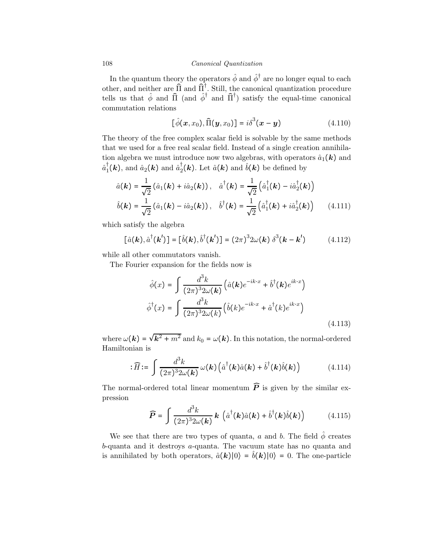In the quantum theory the operators  $\hat{\phi}$  and  $\hat{\phi}^{\dagger}$  are no longer equal to each other, and neither are  $\hat{\Pi}$  and  $\hat{\Pi}^{\dagger}$ . Still, the canonical quantization procedure tells us that  $\hat{\phi}$  and  $\hat{\Pi}$  (and  $\hat{\phi}^{\dagger}$  and  $\hat{\Pi}^{\dagger}$ ) satisfy the equal-time canonical commutation relations

$$
[\hat{\phi}(\boldsymbol{x},x_0),\hat{\Pi}(\boldsymbol{y},x_0)]=i\delta^3(\boldsymbol{x}-\boldsymbol{y})
$$
\n(4.110)

The theory of the free complex scalar field is solvable by the same methods that we used for a free real scalar field. Instead of a single creation annihilation algebra we must introduce now two algebras, with operators  $\hat{a}_1(\mathbf{k})$  and  $\hat{a}_1^{\dagger}(\bm{k})$ , and  $\hat{a}_2(\bm{k})$  and  $\hat{a}_2(\bm{k})$ . Let  $\hat{a}(\bm{k})$  and  $\hat{b}(\bm{k})$  be defined by

$$
\hat{a}(\mathbf{k}) = \frac{1}{\sqrt{2}} (\hat{a}_1(\mathbf{k}) + i\hat{a}_2(\mathbf{k})), \quad \hat{a}^\dagger(\mathbf{k}) = \frac{1}{\sqrt{2}} (\hat{a}_1^\dagger(\mathbf{k}) - i\hat{a}_2^\dagger(\mathbf{k}))
$$
\n
$$
\hat{b}(\mathbf{k}) = \frac{1}{\sqrt{2}} (\hat{a}_1(\mathbf{k}) - i\hat{a}_2(\mathbf{k})), \quad \hat{b}^\dagger(\mathbf{k}) = \frac{1}{\sqrt{2}} (\hat{a}_1^\dagger(\mathbf{k}) + i\hat{a}_2^\dagger(\mathbf{k})) \tag{4.111}
$$

which satisfy the algebra

$$
[\hat{a}(\mathbf{k}), \hat{a}^\dagger(\mathbf{k}')] = [\hat{b}(\mathbf{k}), \hat{b}^\dagger(\mathbf{k}')] = (2\pi)^3 2\omega(\mathbf{k}) \delta^3(\mathbf{k} - \mathbf{k}')
$$
(4.112)

while all other commutators vanish.

The Fourier expansion for the fields now is

$$
\hat{\phi}(x) = \int \frac{d^3k}{(2\pi)^3 2\omega(\mathbf{k})} \left( \hat{a}(\mathbf{k})e^{-ik \cdot x} + \hat{b}^\dagger(\mathbf{k})e^{ik \cdot x} \right)
$$

$$
\hat{\phi}^\dagger(x) = \int \frac{d^3k}{(2\pi)^3 2\omega(k)} \left( \hat{b}(k)e^{-ik \cdot x} + \hat{a}^\dagger(k)e^{ik \cdot x} \right)
$$
(4.113)

where  $\omega(\mathbf{k}) = \sqrt{\mathbf{k}^2 + m^2}$  and  $k_0 = \omega(\mathbf{k})$ . In this notation, the normal-ordered Hamiltonian is

$$
: \widehat{H} := \int \frac{d^3k}{(2\pi)^3 2\omega(\mathbf{k})} \omega(\mathbf{k}) \left( \hat{a}^\dagger(\mathbf{k}) \hat{a}(\mathbf{k}) + \hat{b}^\dagger(\mathbf{k}) \hat{b}(\mathbf{k}) \right) \tag{4.114}
$$

The normal-ordered total linear momentum  $\widehat{P}$  is given by the similar expression

$$
\widehat{P} = \int \frac{d^3k}{(2\pi)^3 2\omega(\mathbf{k})} \mathbf{k} \left( \hat{a}^\dagger(\mathbf{k}) \hat{a}(\mathbf{k}) + \hat{b}^\dagger(\mathbf{k}) \hat{b}(\mathbf{k}) \right) \tag{4.115}
$$

We see that there are two types of quanta, a and b. The field  $\hat{\phi}$  creates b-quanta and it destroys a-quanta. The vacuum state has no quanta and is annihilated by both operators,  $\hat{a}(\mathbf{k})|0\rangle = \hat{b}(\mathbf{k})|0\rangle = 0$ . The one-particle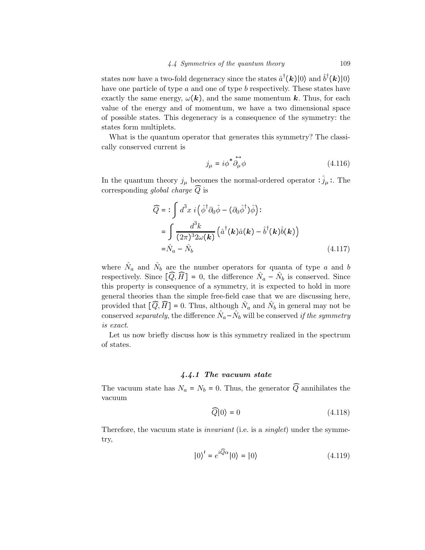states now have a two-fold degeneracy since the states  $\hat{a}^{\dagger}(\mathbf{k})|0\rangle$  and  $\hat{b}^{\dagger}(\mathbf{k})|0\rangle$ have one particle of type  $a$  and one of type  $b$  respectively. These states have exactly the same energy,  $\omega(\mathbf{k})$ , and the same momentum k. Thus, for each value of the energy and of momentum, we have a two dimensional space of possible states. This degeneracy is a consequence of the symmetry: the states form multiplets.

What is the quantum operator that generates this symmetry? The classically conserved current is

$$
j_{\mu} = i\phi^* \overleftrightarrow{\partial_{\mu}} \phi \tag{4.116}
$$

In the quantum theory  $j_{\mu}$  becomes the normal-ordered operator :  $\hat{j}_{\mu}$ : The corresponding global charge  $\widehat{Q}$  is

$$
\widehat{Q} = \mathbf{:\int} d^3x \, i \left( \hat{\phi}^\dagger \partial_0 \hat{\phi} - (\partial_0 \hat{\phi}^\dagger) \hat{\phi} \right) \mathbf{:\n= \int} \frac{d^3k}{(2\pi)^3 2\omega(\mathbf{k})} \left( \hat{a}^\dagger(\mathbf{k}) \hat{a}(\mathbf{k}) - \hat{b}^\dagger(\mathbf{k}) \hat{b}(\mathbf{k}) \right)\n= \hat{N}_a - \hat{N}_b\n\tag{4.117}
$$

where  $\hat{N}_a$  and  $\hat{N}_b$  are the number operators for quanta of type a and b respectively. Since  $[\widehat{Q}, \widehat{H}] = 0$ , the difference  $\widehat{N}_a - \widehat{N}_b$  is conserved. Since this property is consequence of a symmetry, it is expected to hold in more general theories than the simple free-field case that we are discussing here, provided that  $[\overline{Q}, \overline{H}] = 0$ . Thus, although  $\overline{N}_a$  and  $\overline{N}_b$  in general may not be conserved separately, the difference  $\hat{N}_a-\hat{N}_b$  will be conserved if the symmetry is exact.

Let us now briefly discuss how is this symmetry realized in the spectrum of states.

# 4.4.1 The vacuum state

The vacuum state has  $N_a = N_b = 0$ . Thus, the generator  $\widehat{Q}$  annihilates the vacuum

$$
\widehat{Q}|0\rangle = 0\tag{4.118}
$$

Therefore, the vacuum state is *invariant* (i.e. is a *singlet*) under the symmetry,

$$
|0\rangle' = e^{i\overline{Q}\alpha}|0\rangle = |0\rangle \tag{4.119}
$$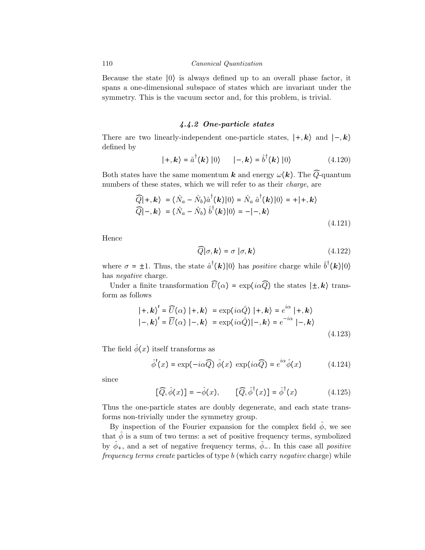Because the state ∣0⟩ is always defined up to an overall phase factor, it spans a one-dimensional subspace of states which are invariant under the symmetry. This is the vacuum sector and, for this problem, is trivial.

# 4.4.2 One-particle states

There are two linearly-independent one-particle states,  $|+,k\rangle$  and  $|-,k\rangle$ defined by

$$
|+, \mathbf{k}\rangle = \hat{a}^{\dagger}(\mathbf{k}) |0\rangle \qquad |-, \mathbf{k}\rangle = \hat{b}^{\dagger}(\mathbf{k}) |0\rangle \tag{4.120}
$$

Both states have the same momentum k and energy  $\omega(k)$ . The  $\widehat{Q}$ -quantum numbers of these states, which we will refer to as their *charge*, are

$$
\widehat{Q}|+, \mathbf{k}\rangle = (\hat{N}_a - \hat{N}_b)\hat{a}^\dagger(\mathbf{k})|0\rangle = \hat{N}_a \hat{a}^\dagger(\mathbf{k})|0\rangle = +|+, \mathbf{k}\rangle
$$
  

$$
\widehat{Q}|-,\mathbf{k}\rangle = (\hat{N}_a - \hat{N}_b) \hat{b}^\dagger(\mathbf{k})|0\rangle = -|-, \mathbf{k}\rangle
$$
 (4.121)

Hence

$$
\widehat{Q}|\sigma,\mathbf{k}\rangle = \sigma|\sigma,\mathbf{k}\rangle \tag{4.122}
$$

where  $\sigma = \pm 1$ . Thus, the state  $\hat{a}^{\dagger}(\mathbf{k})|0\rangle$  has *positive* charge while  $\hat{b}^{\dagger}(\mathbf{k})|0\rangle$ has *negative* charge.

Under a finite transformation  $\widehat{U}(\alpha) = \exp(i\alpha \widehat{Q})$  the states  $|\pm, \mathbf{k}\rangle$  transform as follows

$$
|+,k\rangle' = \widehat{U}(\alpha) |+,k\rangle = \exp(i\alpha \hat{Q}) |+,k\rangle = e^{i\alpha} |+,k\rangle
$$
  

$$
|-,k\rangle' = \widehat{U}(\alpha) |-,k\rangle = \exp(i\alpha \hat{Q}) |-,k\rangle = e^{-i\alpha} |-,k\rangle
$$
  
(4.123)

The field  $\hat{\phi}(x)$  itself transforms as

$$
\hat{\phi}'(x) = \exp(-i\alpha \widehat{Q}) \hat{\phi}(x) \, \exp(i\alpha \widehat{Q}) = e^{i\alpha} \hat{\phi}(x) \tag{4.124}
$$

since

$$
[\widehat{Q}, \widehat{\phi}(x)] = -\widehat{\phi}(x), \qquad [\widehat{Q}, \widehat{\phi}^{\dagger}(x)] = \widehat{\phi}^{\dagger}(x) \tag{4.125}
$$

Thus the one-particle states are doubly degenerate, and each state transforms non-trivially under the symmetry group.

By inspection of the Fourier expansion for the complex field  $\hat{\phi}$ , we see that  $\hat{\phi}$  is a sum of two terms: a set of positive frequency terms, symbolized by  $\hat{\phi}_+$ , and a set of negative frequency terms,  $\hat{\phi}_-$ . In this case all *positive* frequency terms create particles of type b (which carry negative charge) while